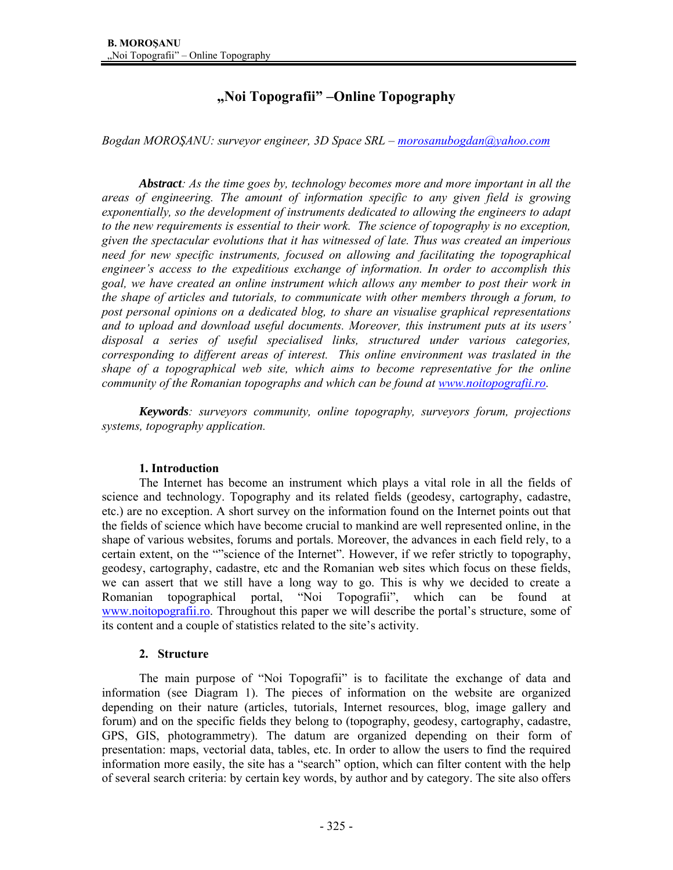# **"Noi Topografii" –Online Topography**

*Bogdan MOROŞANU: surveyor engineer, 3D Space SRL – morosanubogdan@yahoo.com*

*Abstract: As the time goes by, technology becomes more and more important in all the areas of engineering. The amount of information specific to any given field is growing exponentially, so the development of instruments dedicated to allowing the engineers to adapt to the new requirements is essential to their work. The science of topography is no exception, given the spectacular evolutions that it has witnessed of late. Thus was created an imperious need for new specific instruments, focused on allowing and facilitating the topographical engineer's access to the expeditious exchange of information. In order to accomplish this goal, we have created an online instrument which allows any member to post their work in the shape of articles and tutorials, to communicate with other members through a forum, to post personal opinions on a dedicated blog, to share an visualise graphical representations and to upload and download useful documents. Moreover, this instrument puts at its users' disposal a series of useful specialised links, structured under various categories, corresponding to different areas of interest. This online environment was traslated in the shape of a topographical web site, which aims to become representative for the online community of the Romanian topographs and which can be found at www.noitopografii.ro.* 

*Keywords: surveyors community, online topography, surveyors forum, projections systems, topography application.* 

# **1. Introduction**

The Internet has become an instrument which plays a vital role in all the fields of science and technology. Topography and its related fields (geodesy, cartography, cadastre, etc.) are no exception. A short survey on the information found on the Internet points out that the fields of science which have become crucial to mankind are well represented online, in the shape of various websites, forums and portals. Moreover, the advances in each field rely, to a certain extent, on the ""science of the Internet". However, if we refer strictly to topography, geodesy, cartography, cadastre, etc and the Romanian web sites which focus on these fields, we can assert that we still have a long way to go. This is why we decided to create a Romanian topographical portal, "Noi Topografii", which can be found at www.noitopografii.ro. Throughout this paper we will describe the portal's structure, some of its content and a couple of statistics related to the site's activity.

#### **2. Structure**

 The main purpose of "Noi Topografii" is to facilitate the exchange of data and information (see Diagram 1). The pieces of information on the website are organized depending on their nature (articles, tutorials, Internet resources, blog, image gallery and forum) and on the specific fields they belong to (topography, geodesy, cartography, cadastre, GPS, GIS, photogrammetry). The datum are organized depending on their form of presentation: maps, vectorial data, tables, etc. In order to allow the users to find the required information more easily, the site has a "search" option, which can filter content with the help of several search criteria: by certain key words, by author and by category. The site also offers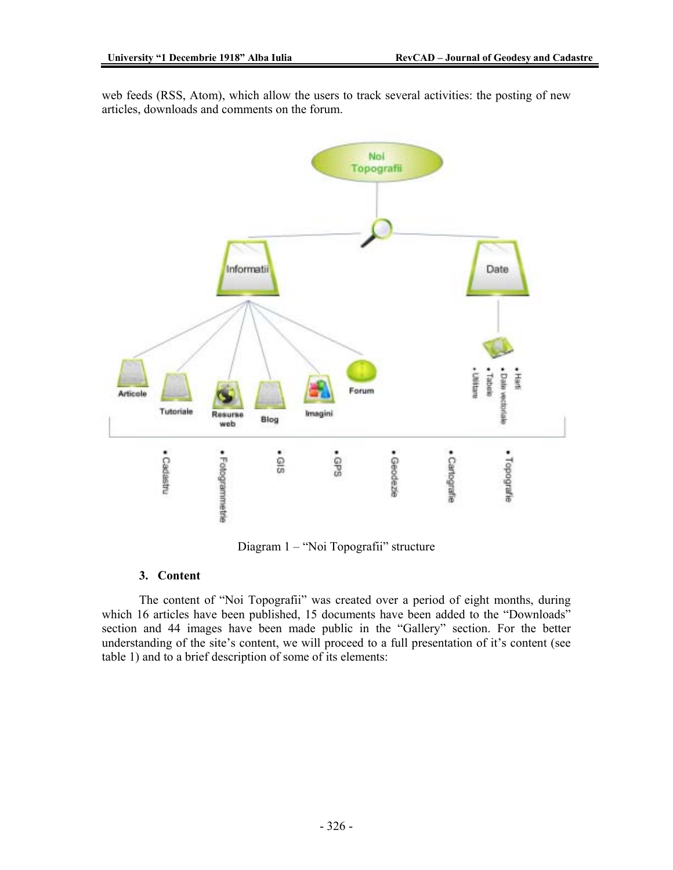web feeds (RSS, Atom), which allow the users to track several activities: the posting of new articles, downloads and comments on the forum.



Diagram 1 – "Noi Topografii" structure

# **3. Content**

The content of "Noi Topografii" was created over a period of eight months, during which 16 articles have been published, 15 documents have been added to the "Downloads" section and 44 images have been made public in the "Gallery" section. For the better understanding of the site's content, we will proceed to a full presentation of it's content (see table 1) and to a brief description of some of its elements: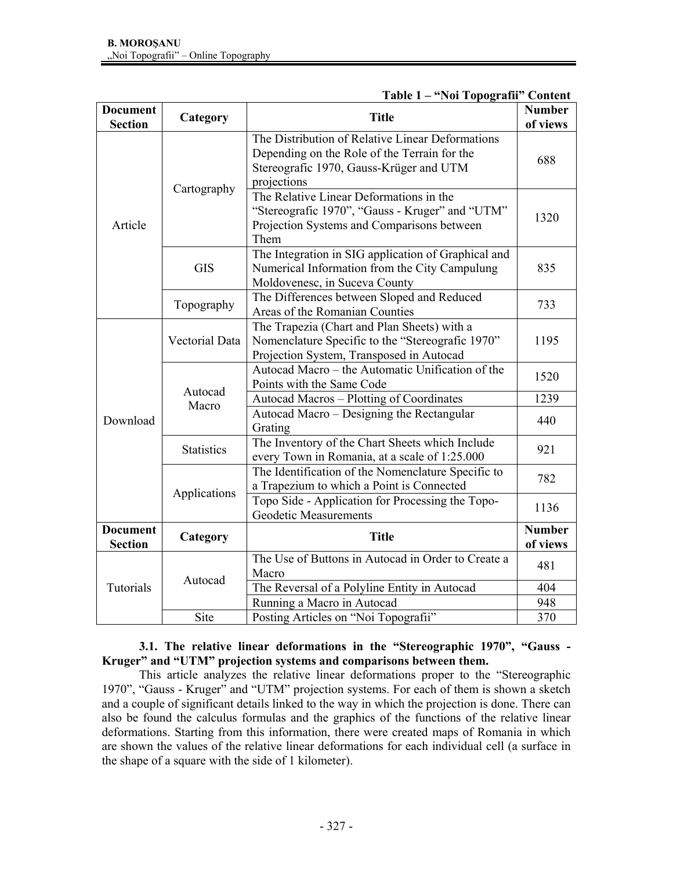| <b>Document</b><br><b>Section</b> | Category          | <b>Title</b>                                                                                                                                               | <b>Number</b><br>of views |
|-----------------------------------|-------------------|------------------------------------------------------------------------------------------------------------------------------------------------------------|---------------------------|
| Article                           | Cartography       | The Distribution of Relative Linear Deformations<br>Depending on the Role of the Terrain for the<br>Stereografic 1970, Gauss-Krüger and UTM<br>projections | 688                       |
|                                   |                   | The Relative Linear Deformations in the<br>"Stereografic 1970", "Gauss - Kruger" and "UTM"<br>Projection Systems and Comparisons between<br>Them           | 1320                      |
|                                   | <b>GIS</b>        | The Integration in SIG application of Graphical and<br>Numerical Information from the City Campulung<br>Moldovenesc, in Suceva County                      | 835                       |
|                                   | Topography        | The Differences between Sloped and Reduced<br>Areas of the Romanian Counties                                                                               | 733                       |
| Download                          | Vectorial Data    | The Trapezia (Chart and Plan Sheets) with a<br>Nomenclature Specific to the "Stereografic 1970"<br>Projection System, Transposed in Autocad                | 1195                      |
|                                   | Autocad<br>Macro  | Autocad Macro – the Automatic Unification of the<br>Points with the Same Code                                                                              | 1520                      |
|                                   |                   | Autocad Macros - Plotting of Coordinates                                                                                                                   | 1239                      |
|                                   |                   | Autocad Macro – Designing the Rectangular<br>Grating                                                                                                       | 440                       |
|                                   | <b>Statistics</b> | The Inventory of the Chart Sheets which Include<br>every Town in Romania, at a scale of 1:25.000                                                           | 921                       |
|                                   | Applications      | The Identification of the Nomenclature Specific to<br>a Trapezium to which a Point is Connected                                                            | 782                       |
|                                   |                   | Topo Side - Application for Processing the Topo-<br><b>Geodetic Measurements</b>                                                                           | 1136                      |
| <b>Document</b><br><b>Section</b> | Category          | <b>Title</b>                                                                                                                                               | <b>Number</b><br>of views |
| Tutorials                         | Autocad           | The Use of Buttons in Autocad in Order to Create a<br>Macro                                                                                                | 481                       |
|                                   |                   | The Reversal of a Polyline Entity in Autocad                                                                                                               | 404                       |
|                                   |                   | Running a Macro in Autocad                                                                                                                                 | 948                       |
|                                   | Site              | Posting Articles on "Noi Topografii"                                                                                                                       | 370                       |

# **Table 1 – "Noi Topografii" Content**

# **3.1. The relative linear deformations in the "Stereographic 1970", "Gauss - Kruger" and "UTM" projection systems and comparisons between them.**

This article analyzes the relative linear deformations proper to the "Stereographic 1970", "Gauss - Kruger" and "UTM" projection systems. For each of them is shown a sketch and a couple of significant details linked to the way in which the projection is done. There can also be found the calculus formulas and the graphics of the functions of the relative linear deformations. Starting from this information, there were created maps of Romania in which are shown the values of the relative linear deformations for each individual cell (a surface in the shape of a square with the side of 1 kilometer).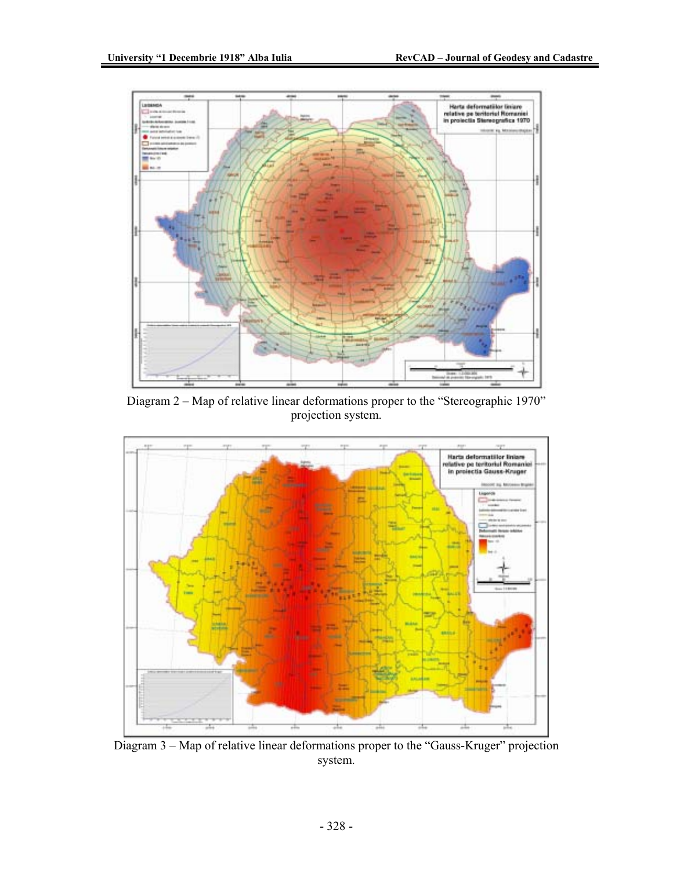

Diagram 2 – Map of relative linear deformations proper to the "Stereographic 1970" projection system.



Diagram 3 – Map of relative linear deformations proper to the "Gauss-Kruger" projection system.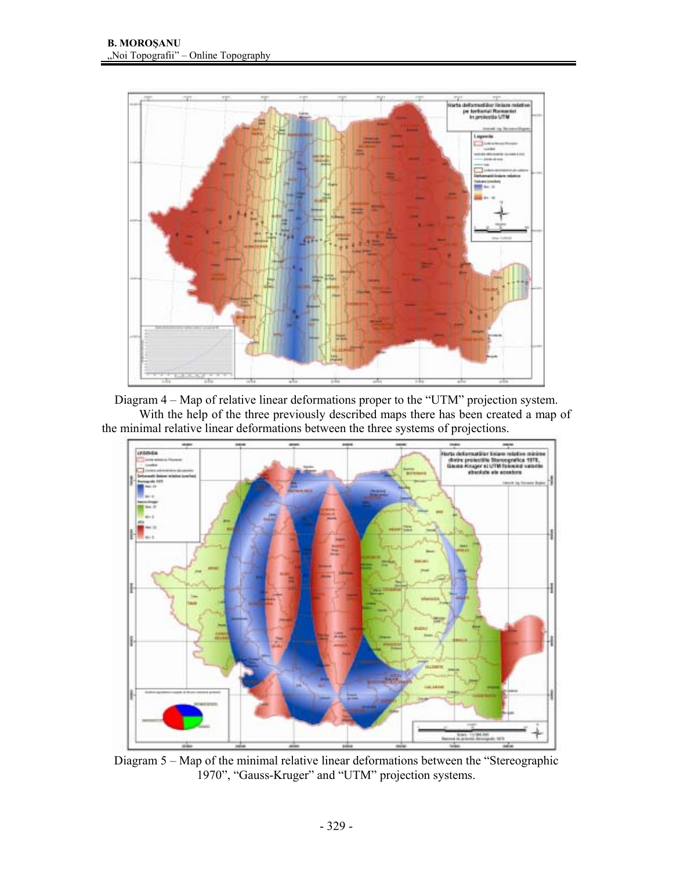

Diagram 4 – Map of relative linear deformations proper to the "UTM" projection system. With the help of the three previously described maps there has been created a map of the minimal relative linear deformations between the three systems of projections.



Diagram 5 – Map of the minimal relative linear deformations between the "Stereographic 1970", "Gauss-Kruger" and "UTM" projection systems.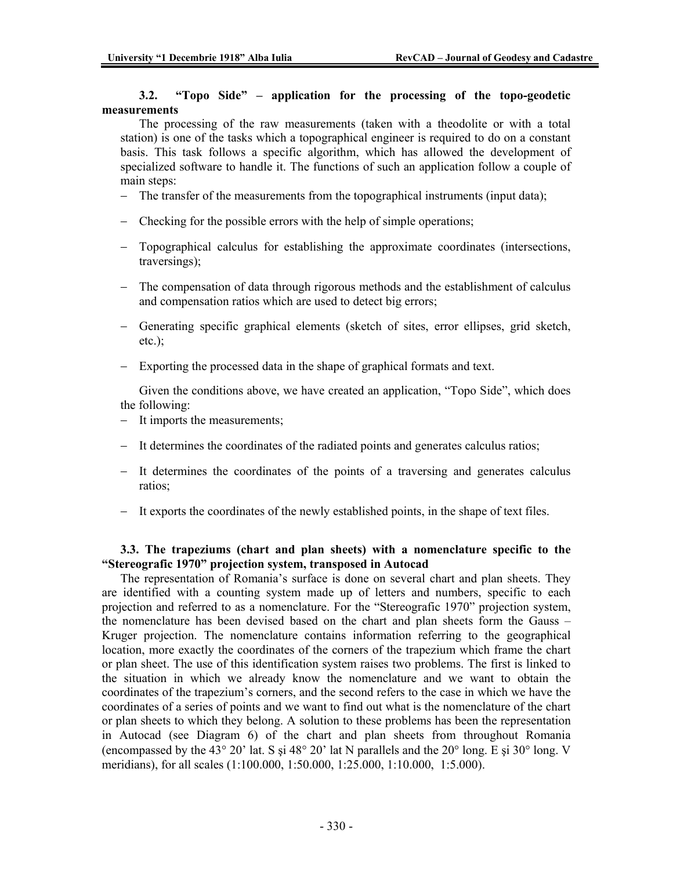#### **3.2. "Topo Side" – application for the processing of the topo-geodetic measurements**

The processing of the raw measurements (taken with a theodolite or with a total station) is one of the tasks which a topographical engineer is required to do on a constant basis. This task follows a specific algorithm, which has allowed the development of specialized software to handle it. The functions of such an application follow a couple of main steps:

- − The transfer of the measurements from the topographical instruments (input data);
- − Checking for the possible errors with the help of simple operations;
- − Topographical calculus for establishing the approximate coordinates (intersections, traversings);
- − The compensation of data through rigorous methods and the establishment of calculus and compensation ratios which are used to detect big errors;
- − Generating specific graphical elements (sketch of sites, error ellipses, grid sketch, etc.);
- − Exporting the processed data in the shape of graphical formats and text.

Given the conditions above, we have created an application, "Topo Side", which does the following:

- − It imports the measurements;
- − It determines the coordinates of the radiated points and generates calculus ratios;
- − It determines the coordinates of the points of a traversing and generates calculus ratios;
- − It exports the coordinates of the newly established points, in the shape of text files.

# **3.3. The trapeziums (chart and plan sheets) with a nomenclature specific to the "Stereografic 1970" projection system, transposed in Autocad**

The representation of Romania's surface is done on several chart and plan sheets. They are identified with a counting system made up of letters and numbers, specific to each projection and referred to as a nomenclature. For the "Stereografic 1970" projection system, the nomenclature has been devised based on the chart and plan sheets form the Gauss – Kruger projection. The nomenclature contains information referring to the geographical location, more exactly the coordinates of the corners of the trapezium which frame the chart or plan sheet. The use of this identification system raises two problems. The first is linked to the situation in which we already know the nomenclature and we want to obtain the coordinates of the trapezium's corners, and the second refers to the case in which we have the coordinates of a series of points and we want to find out what is the nomenclature of the chart or plan sheets to which they belong. A solution to these problems has been the representation in Autocad (see Diagram 6) of the chart and plan sheets from throughout Romania (encompassed by the 43° 20' lat. S si 48° 20' lat N parallels and the 20° long. E si 30° long. V meridians), for all scales (1:100.000, 1:50.000, 1:25.000, 1:10.000, 1:5.000).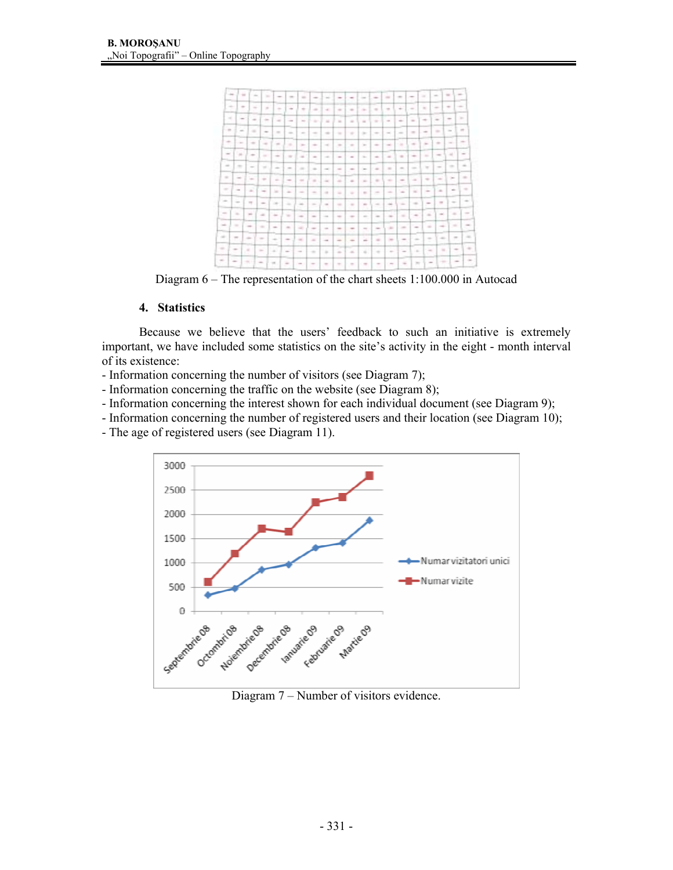

Diagram 6 – The representation of the chart sheets 1:100.000 in Autocad

# **4. Statistics**

Because we believe that the users' feedback to such an initiative is extremely important, we have included some statistics on the site's activity in the eight - month interval of its existence:

- Information concerning the number of visitors (see Diagram 7);
- Information concerning the traffic on the website (see Diagram 8);
- Information concerning the interest shown for each individual document (see Diagram 9);
- Information concerning the number of registered users and their location (see Diagram 10);
- The age of registered users (see Diagram 11).



Diagram 7 – Number of visitors evidence.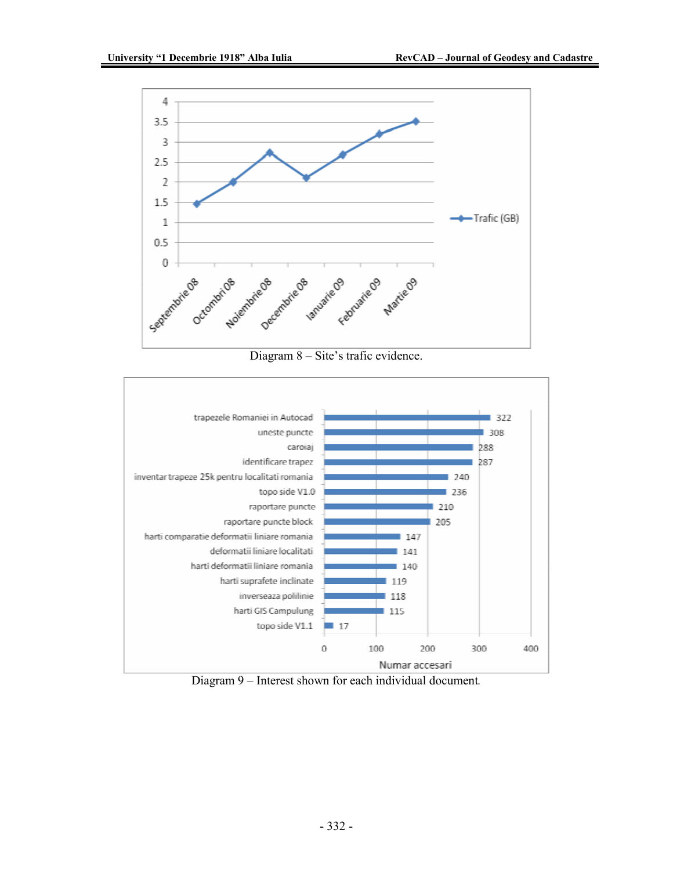





Diagram 9 – Interest shown for each individual document*.*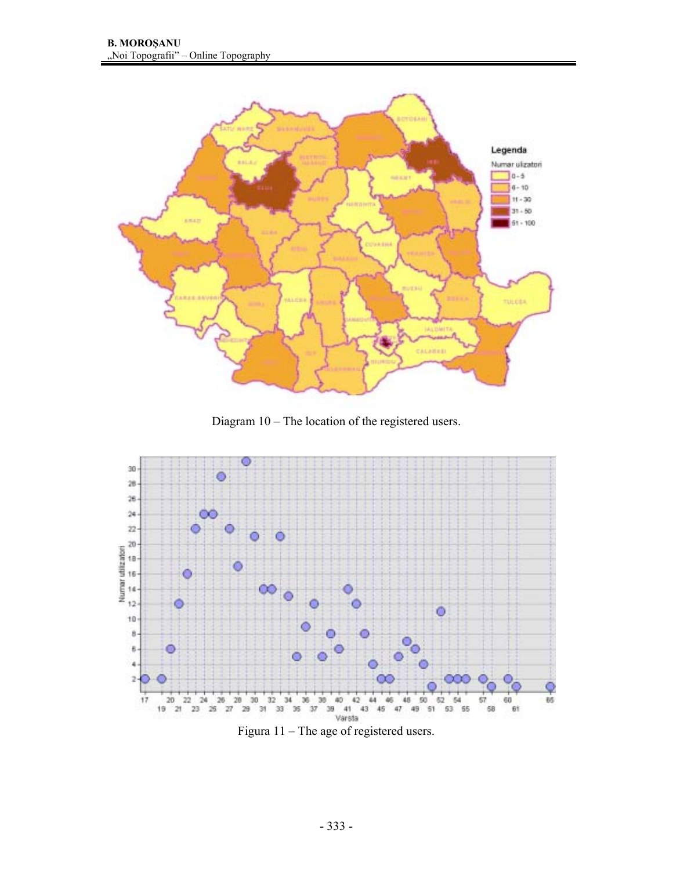

Diagram 10 – The location of the registered users.